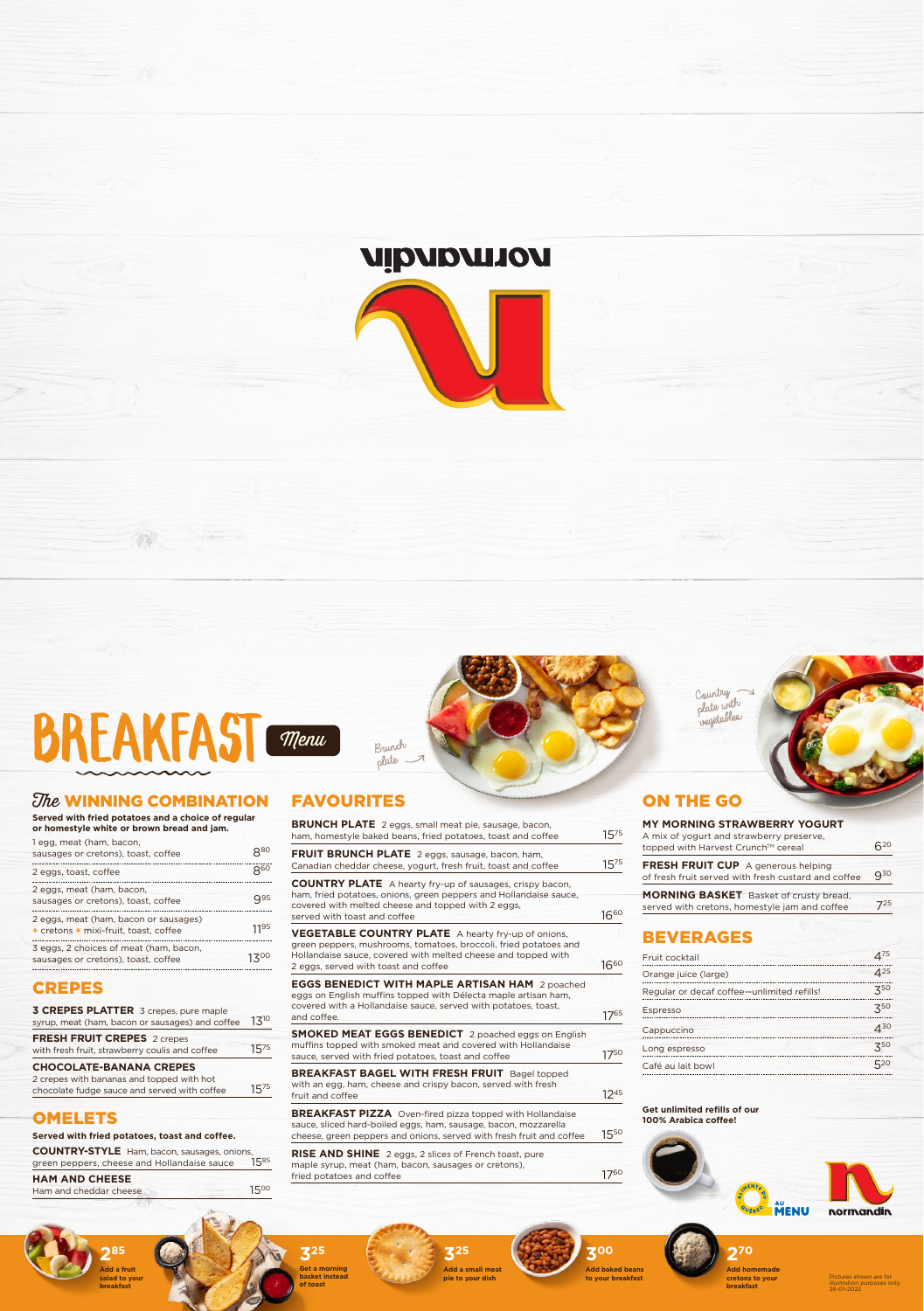

**Served with fried potatoes and a choice of regular or homestyle white or brown bread and jam.** 1 egg, meat (ham, bacon,

3 eggs, 2 choices of meat (ham, bacon, sausages or cretons), toast, coffee  $13^{00}$ 

| sausages or cretons), toast, coffee                              | 880             |
|------------------------------------------------------------------|-----------------|
| 2 eggs, toast, coffee                                            | $8^{60}$        |
| 2 eggs, meat (ham, bacon,<br>sausages or cretons), toast, coffee | Q <sub>95</sub> |
| 2 eggs, meat (ham, bacon or sausages)                            |                 |

2 crepes with bananas and topped with hot chocolate fudge sauce and served with coffee  $15^{75}$ 

# **OMELETS**

|  | + cretons + mixi-fruit, toast, coffee                             | 1195 |
|--|-------------------------------------------------------------------|------|
|  | $\overline{z}$ can $\overline{z}$ the state of model them because |      |

# CREPES

**BRUNCH PLATE** 2 eggs, small meat pie, sausage, bacon, ham, homestyle baked beans, fried potatoes, toast and coffee 1575

**FRUIT BRUNCH PLATE** 2 eggs, sausage, bacon, ham, Canadian cheddar cheese, yogurt, fresh fruit, toast and coffee 1575

| <b>CHOCOLATE-BANANA CREPES</b>                                                                  |            |
|-------------------------------------------------------------------------------------------------|------------|
| <b>FRESH FRUIT CREPES 2 crepes</b><br>with fresh fruit, strawberry coulis and coffee            | $15^{75}$  |
| <b>3 CREPES PLATTER</b> 3 crepes, pure maple<br>syrup, meat (ham, bacon or sausages) and coffee | $1.3^{10}$ |
|                                                                                                 |            |

**COUNTRY PLATE** A hearty fry-up of sausages, crispy bacon, ham, fried potatoes, onions, green peppers and Hollandaise sauce, covered with melted cheese and topped with 2 eggs, served with toast and coffee  $16^{60}$ 

**VEGETABLE COUNTRY PLATE** A hearty fry-up of onions, green peppers, mushrooms, tomatoes, broccoli, fried potatoes and Hollandaise sauce, covered with melted cheese and topped with 2 eggs, served with toast and coffee  $16^{60}$ 

#### **Served with fried potatoes, toast and coffee.**

eggs on English muffins topped with Délecta maple artisan ham, covered with a Hollandaise sauce, served with potatoes, toast, and coffee. 17<sup>65</sup>

| <b>COUNTRY-STYLE</b> Ham, bacon, sausages, onions, |           |
|----------------------------------------------------|-----------|
| green peppers, cheese and Hollandaise sauce        | $15^{85}$ |

#### **HAM AND CHEESE**

Ham and cheddar cheese 1500

**SMOKED MEAT EGGS BENEDICT** 2 poached eggs on English muffins topped with smoked meat and covered with Hollandaise sauce, served with fried potatoes, toast and coffee 1750

# FAVOURITES

**BREAKFAST BAGEL WITH FRESH FRUIT** Bagel topped with an egg, ham, cheese and crispy bacon, served with fresh fruit and coffee  $12^{45}$ 

**BREAKFAST PIZZA** Oven-fired pizza topped with Hollandaise sauce, sliced hard-boiled eggs, ham, sausage, bacon, mozzarella cheese, green peppers and onions, served with fresh fruit and coffee 15<sup>50</sup>

**RISE AND SHINE** 2 eggs, 2 slices of French toast, pure maple syrup, meat (ham, bacon, sausages or cretons), fried potatoes and coffee 1760

#### **EGGS BENEDICT WITH MAPLE ARTISAN HAM** 2 poached

**285 Add a fruit salad to your breakfast**



**Get a morning basket instead of toast**

**325**

**Add a small meat pie to your dish**

**300 Add baked beans** 

#### **Get unlimited refills of our 100% Arabica coffee!**



normandin

**MENU** 

# ON THE GO





| <b>MY MORNING STRAWBERRY YOGURT</b><br>A mix of yogurt and strawberry preserve,<br>topped with Harvest Crunch™ cereal | 620      |
|-----------------------------------------------------------------------------------------------------------------------|----------|
| <b>FRESH FRUIT CUP</b> A generous helping<br>of fresh fruit served with fresh custard and coffee                      | $Q^{30}$ |
| <b>MORNING BASKET</b> Basket of crusty bread,<br>served with cretons, homestyle jam and coffee                        | 725      |



# BEVERAGES

| Fruit cocktail                             | 475                         |
|--------------------------------------------|-----------------------------|
| Orange juice (large)                       | $4^{25}$                    |
| Regular or decaf coffee-unlimited refills! | 750                         |
| Espresso                                   | 750                         |
| Cappuccino                                 | $\mathcal{A}^{\mathsf{3O}}$ |
| Long espresso                              | 750                         |
| Café au lait bowl                          | 520                         |

Country plate with vegetables



Brunch plate